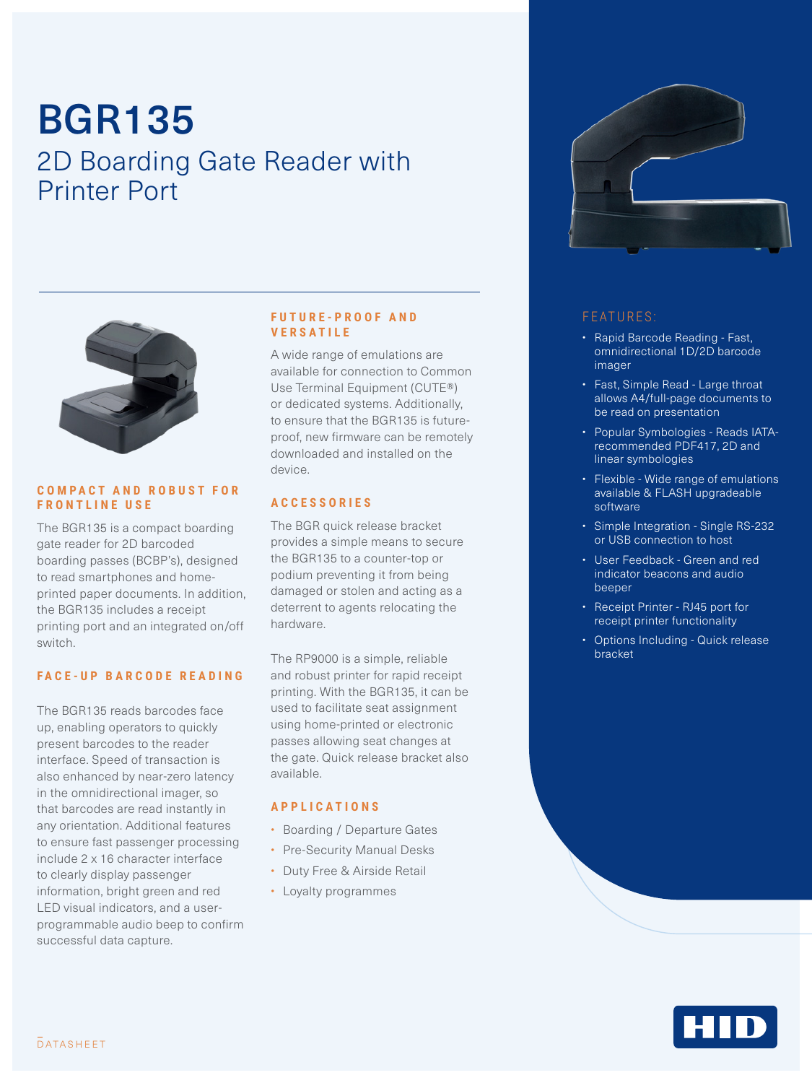# BGR135 2D Boarding Gate Reader with Printer Port



#### **C O M P A C T A N D R O B U S T F O R FRONTLINE USE**

The BGR135 is a compact boarding gate reader for 2D barcoded boarding passes (BCBP's), designed to read smartphones and homeprinted paper documents. In addition, the BGR135 includes a receipt printing port and an integrated on/off switch.

#### **FACE-UP BARCODE READING**

The BGR135 reads barcodes face up, enabling operators to quickly present barcodes to the reader interface. Speed of transaction is also enhanced by near-zero latency in the omnidirectional imager, so that barcodes are read instantly in any orientation. Additional features to ensure fast passenger processing include 2 x 16 character interface to clearly display passenger information, bright green and red LED visual indicators, and a userprogrammable audio beep to confirm successful data capture.

#### **F U T U R E - P R O O F A N D VERSATILE**

A wide range of emulations are available for connection to Common Use Terminal Equipment (CUTE®) or dedicated systems. Additionally, to ensure that the BGR135 is futureproof, new firmware can be remotely downloaded and installed on the device.

### **A C C E S S O R I E S**

The BGR quick release bracket provides a simple means to secure the BGR135 to a counter-top or podium preventing it from being damaged or stolen and acting as a deterrent to agents relocating the hardware.

The RP9000 is a simple, reliable and robust printer for rapid receipt printing. With the BGR135, it can be used to facilitate seat assignment using home-printed or electronic passes allowing seat changes at the gate. Quick release bracket also available.

#### **APPLICATIONS**

- Boarding / Departure Gates
- Pre-Security Manual Desks
- Duty Free & Airside Retail
- Loyalty programmes



### FEATURES:

- Rapid Barcode Reading Fast, omnidirectional 1D/2D barcode imager
- Fast, Simple Read Large throat allows A4/full-page documents to be read on presentation
- Popular Symbologies Reads IATArecommended PDF417, 2D and linear symbologies
- Flexible Wide range of emulations available & FLASH upgradeable software
- Simple Integration Single RS-232 or USB connection to host
- User Feedback Green and red indicator beacons and audio beeper
- Receipt Printer RJ45 port for receipt printer functionality
- Options Including Quick release bracket